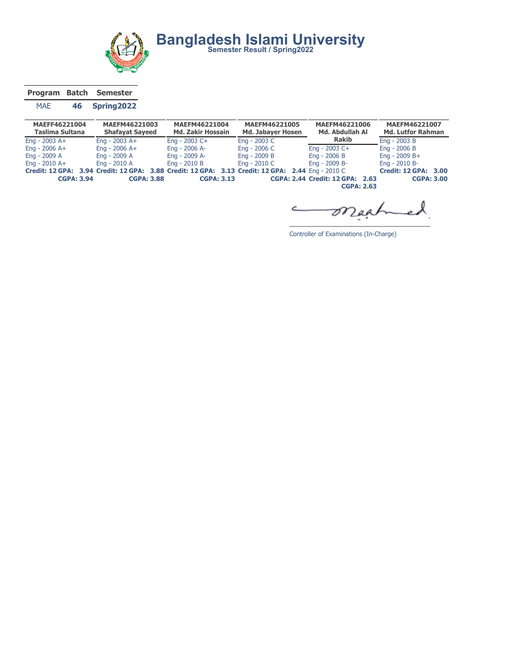

Program Batch Semester

## MAE 46 Spring2022

| MAEFF46221004<br>Taslima Sultana | MAEFM46221003<br><b>Shafayat Sayeed</b>                                                          | MAEFM46221004<br><b>Md. Zakir Hossain</b> | MAEFM46221005<br><b>Md. Jabayer Hosen</b> | MAEFM46221006<br>Md. Abdullah Al | MAEFM46221007<br><b>Md. Lutfor Rahman</b> |
|----------------------------------|--------------------------------------------------------------------------------------------------|-------------------------------------------|-------------------------------------------|----------------------------------|-------------------------------------------|
| Eng - $2003$ A+                  | Eng - $2003$ A+                                                                                  | Eng - $2003$ C+                           | Eng - 2003 C                              | <b>Rakib</b>                     | Eng - $2003B$                             |
| Eng - $2006$ A+                  | Eng - $2006$ A+                                                                                  | Eng - 2006 A-                             | Eng - 2006 C                              | Eng - $2003$ C+                  | Eng - $2006B$                             |
| Eng - 2009 A                     | Eng - 2009 A                                                                                     | Eng - 2009 A-                             | Eng - 2009 B                              | Eng - $2006B$                    | Eng - $2009 B +$                          |
| Eng - $2010$ A+                  | Eng - 2010 A                                                                                     | Eng - $2010B$                             | Eng - 2010 C                              | Eng - 2009 B-                    | Eng - 2010 B-                             |
|                                  | Credit: 12 GPA: 3.94 Credit: 12 GPA: 3.88 Credit: 12 GPA: 3.13 Credit: 12 GPA: 2.44 Eng - 2010 C |                                           |                                           |                                  | <b>Credit: 12 GPA: 3.00</b>               |
| <b>CGPA: 3.94</b>                | <b>CGPA: 3.88</b>                                                                                | <b>CGPA: 3.13</b>                         |                                           | CGPA: 2.44 Credit: 12 GPA: 2.63  | <b>CGPA: 3.00</b>                         |
|                                  |                                                                                                  |                                           |                                           | <b>CGPA: 2.63</b>                |                                           |

maah C  $\overline{\phantom{a}}$ 

Controller of Examinations (In-Charge)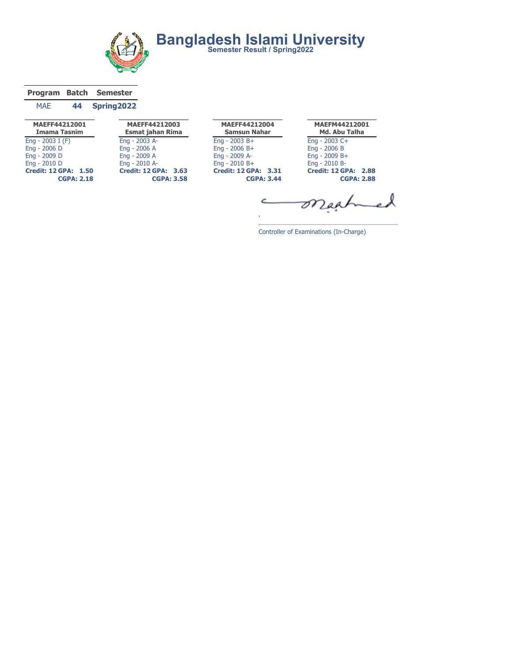

## Program Batch Semester

## MAE 44 Spring2022

| MAEFF44212003<br><b>Esmat jahan Rima</b>         | MAEFF44212004<br><b>Samsun Nahar</b>             |    |
|--------------------------------------------------|--------------------------------------------------|----|
| Eng - 2003 A-                                    | $Enq - 2003 B +$                                 | En |
| Eng - 2006 A                                     | $Enq - 2006 B +$                                 | En |
| Eng - 2009 A                                     | Eng - 2009 A-                                    | En |
| Eng - 2010 A-                                    | $Enq - 2010 B +$                                 | En |
| <b>Credit: 12 GPA: 3.63</b><br><b>CGPA: 3.58</b> | <b>Credit: 12 GPA: 3.31</b><br><b>CGPA: 3.44</b> | Cr |
|                                                  |                                                  |    |

MAEFM44212001 Md. Abu Talha Eng - 2003 C+ Eng - 2006 B Eng - 2009 B+ Eng - 2010 B-Credit: 12 GPA: 2.88 CGPA: 2.88

つ

Controller of Examinations (In-Charge)